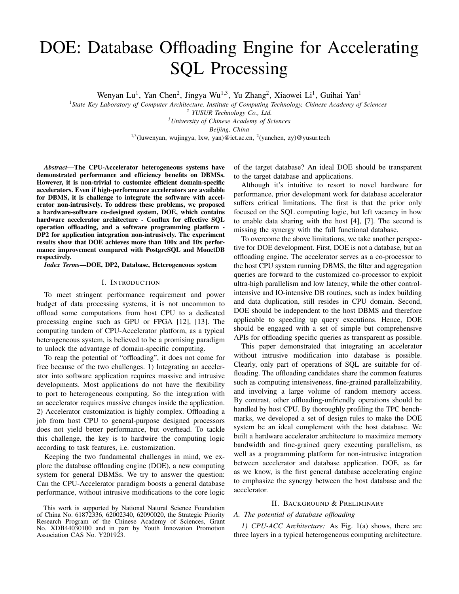# DOE: Database Offloading Engine for Accelerating SQL Processing

Wenyan Lu<sup>1</sup>, Yan Chen<sup>2</sup>, Jingya Wu<sup>1,3</sup>, Yu Zhang<sup>2</sup>, Xiaowei Li<sup>1</sup>, Guihai Yan<sup>1</sup>

<sup>1</sup> State Key Laboratory of Computer Architecture, Institute of Computing Technology, Chinese Academy of Sciences

*2 YUSUR Technology Co., Ltd.*

*<sup>3</sup>University of Chinese Academy of Sciences*

*Beijing, China*

<sup>1,3</sup>(luwenyan, wujingya, lxw, yan)@ict.ac.cn, <sup>2</sup>(yanchen, zy)@yusur.tech

*Abstract*—The CPU-Accelerator heterogeneous systems have demonstrated performance and efficiency benefits on DBMSs. However, it is non-trivial to customize efficient domain-specific accelerators. Even if high-performance accelerators are available for DBMS, it is challenge to integrate the software with accelerator non-intrusively. To address these problems, we proposed a hardware-software co-designed system, DOE, which contains hardware accelerator architecture - Conflux for effective SQL operation offloading, and a software programming platform - DP2 for application integration non-intrusively. The experiment results show that DOE achieves more than 100x and 10x performance improvement compared with PostgreSQL and MonetDB respectively.

*Index Terms*—DOE, DP2, Database, Heterogeneous system

#### I. INTRODUCTION

To meet stringent performance requirement and power budget of data processing systems, it is not uncommon to offload some computations from host CPU to a dedicated processing engine such as GPU or FPGA [12], [13]. The computing tandem of CPU-Accelerator platform, as a typical heterogeneous system, is believed to be a promising paradigm to unlock the advantage of domain-specific computing.

To reap the potential of "offloading", it does not come for free because of the two challenges. 1) Integrating an accelerator into software application requires massive and intrusive developments. Most applications do not have the flexibility to port to heterogeneous computing. So the integration with an accelerator requires massive changes inside the application. 2) Accelerator customization is highly complex. Offloading a job from host CPU to general-purpose designed processors does not yield better performance, but overhead. To tackle this challenge, the key is to hardwire the computing logic according to task features, i.e. customization.

Keeping the two fundamental challenges in mind, we explore the database offloading engine (DOE), a new computing system for general DBMSs. We try to answer the question: Can the CPU-Accelerator paradigm boosts a general database performance, without intrusive modifications to the core logic

This work is supported by National Natural Science Foundation of China No. 61872336, 62002340, 62090020, the Strategic Priority Research Program of the Chinese Academy of Sciences, Grant No. XDB44030100 and in part by Youth Innovation Promotion Association CAS No. Y201923.

of the target database? An ideal DOE should be transparent to the target database and applications.

Although it's intuitive to resort to novel hardware for performance, prior development work for database accelerator suffers critical limitations. The first is that the prior only focused on the SQL computing logic, but left vacancy in how to enable data sharing with the host [4], [7]. The second is missing the synergy with the full functional database.

To overcome the above limitations, we take another perspective for DOE development. First, DOE is not a database, but an offloading engine. The accelerator serves as a co-processor to the host CPU system running DBMS, the filter and aggregation queries are forward to the customized co-processor to exploit ultra-high parallelism and low latency, while the other controlintensive and IO-intensive DB routines, such as index building and data duplication, still resides in CPU domain. Second, DOE should be independent to the host DBMS and therefore applicable to speeding up query executions. Hence, DOE should be engaged with a set of simple but comprehensive APIs for offloading specific queries as transparent as possible.

This paper demonstrated that integrating an accelerator without intrusive modification into database is possible. Clearly, only part of operations of SQL are suitable for offloading. The offloading candidates share the common features such as computing intensiveness, fine-grained parallelizability, and involving a large volume of random memory access. By contrast, other offloading-unfriendly operations should be handled by host CPU. By thoroughly profiling the TPC benchmarks, we developed a set of design rules to make the DOE system be an ideal complement with the host database. We built a hardware accelerator architecture to maximize memory bandwidth and fine-grained query executing parallelism, as well as a programming platform for non-intrusive integration between accelerator and database application. DOE, as far as we know, is the first general database accelerating engine to emphasize the synergy between the host database and the accelerator.

# II. BACKGROUND & PRELIMINARY

# *A. The potential of database offloading*

*1) CPU-ACC Architecture:* As Fig. 1(a) shows, there are three layers in a typical heterogeneous computing architecture.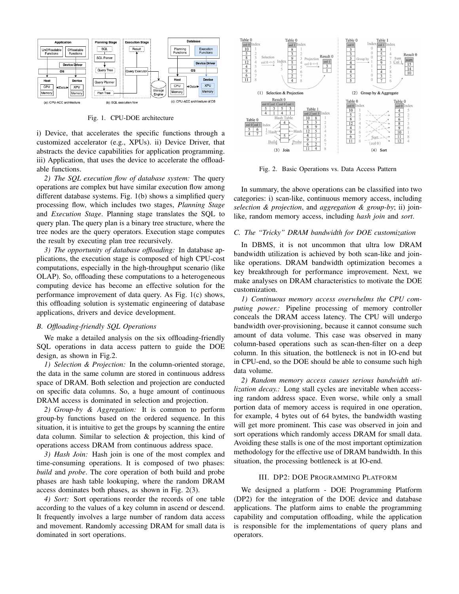

Fig. 1. CPU-DOE architecture

i) Device, that accelerates the specific functions through a customized accelerator (e.g., XPUs). ii) Device Driver, that abstracts the device capabilities for application programming. iii) Application, that uses the device to accelerate the offloadable functions.

*2) The SQL execution flow of database system:* The query operations are complex but have similar execution flow among different database systems. Fig. 1(b) shows a simplified query processing flow, which includes two stages, *Planning Stage* and *Execution Stage*. Planning stage translates the SQL to query plan. The query plan is a binary tree structure, where the tree nodes are the query operators. Execution stage computes the result by executing plan tree recursively.

*3) The opportunity of database offloading:* In database applications, the execution stage is composed of high CPU-cost computations, especially in the high-throughput scenario (like OLAP). So, offloading these computations to a heterogeneous computing device has become an effective solution for the performance improvement of data query. As Fig. 1(c) shows, this offloading solution is systematic engineering of database applications, drivers and device development.

# *B. Offloading-friendly SQL Operations*

We make a detailed analysis on the six offloading-friendly SQL operations in data access pattern to guide the DOE design, as shown in Fig.2.

*1) Selection & Projection:* In the column-oriented storage, the data in the same column are stored in continuous address space of DRAM. Both selection and projection are conducted on specific data columns. So, a huge amount of continuous DRAM access is dominated in selection and projection.

*2) Group-by & Aggregation:* It is common to perform group-by functions based on the ordered sequence. In this situation, it is intuitive to get the groups by scanning the entire data column. Similar to selection & projection, this kind of operations access DRAM from continuous address space.

*3) Hash Join:* Hash join is one of the most complex and time-consuming operations. It is composed of two phases: *build* and *probe*. The core operation of both build and probe phases are hash table lookuping, where the random DRAM access dominates both phases, as shown in Fig. 2(3).

*4) Sort:* Sort operations reorder the records of one table according to the values of a key column in ascend or descend. It frequently involves a large number of random data access and movement. Randomly accessing DRAM for small data is dominated in sort operations.



Fig. 2. Basic Operations vs. Data Access Pattern

In summary, the above operations can be classified into two categories: i) scan-like, continuous memory access, including *selection & projection*, and *aggregation & group-by*; ii) joinlike, random memory access, including *hash join* and *sort*.

# *C. The "Tricky" DRAM bandwidth for DOE customization*

In DBMS, it is not uncommon that ultra low DRAM bandwidth utilization is achieved by both scan-like and joinlike operations. DRAM bandwidth optimization becomes a key breakthrough for performance improvement. Next, we make analyses on DRAM characteristics to motivate the DOE customization.

*1) Continuous memory access overwhelms the CPU computing power.:* Pipeline processing of memory controller conceals the DRAM access latency. The CPU will undergo bandwidth over-provisioning, because it cannot consume such amount of data volume. This case was observed in many column-based operations such as scan-then-filter on a deep column. In this situation, the bottleneck is not in IO-end but in CPU-end, so the DOE should be able to consume such high data volume.

*2) Random memory access causes serious bandwidth utilization decay.:* Long stall cycles are inevitable when accessing random address space. Even worse, while only a small portion data of memory access is required in one operation, for example, 4 bytes out of 64 bytes, the bandwidth wasting will get more prominent. This case was observed in join and sort operations which randomly access DRAM for small data. Avoiding these stalls is one of the most important optimization methodology for the effective use of DRAM bandwidth. In this situation, the processing bottleneck is at IO-end.

# III. DP2: DOE PROGRAMMING PLATFORM

We designed a platform - DOE Programming Platform (DP2) for the integration of the DOE device and database applications. The platform aims to enable the programming capability and computation offloading, while the application is responsible for the implementations of query plans and operators.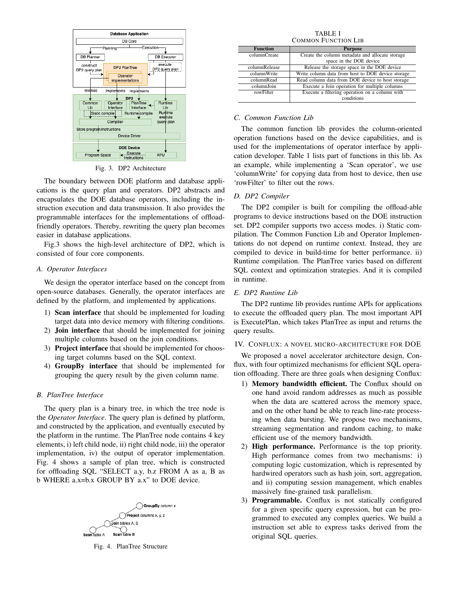

Fig. 3. DP2 Architecture

The boundary between DOE platform and database applications is the query plan and operators. DP2 abstracts and encapsulates the DOE database operators, including the instruction execution and data transmission. It also provides the programmable interfaces for the implementations of offloadfriendly operators. Thereby, rewriting the query plan becomes easier in database applications.

Fig.3 shows the high-level architecture of DP2, which is consisted of four core components.

# *A. Operator Interfaces*

We design the operator interface based on the concept from open-source databases. Generally, the operator interfaces are defined by the platform, and implemented by applications.

- 1) Scan interface that should be implemented for loading target data into device memory with filtering conditions.
- 2) Join interface that should be implemented for joining multiple columns based on the join conditions.
- 3) Project interface that should be implemented for choosing target columns based on the SQL context.
- 4) GroupBy interface that should be implemented for grouping the query result by the given column name.

# *B. PlanTree Interface*

The query plan is a binary tree, in which the tree node is the *Operator Interface*. The query plan is defined by platform, and constructed by the application, and eventually executed by the platform in the runtime. The PlanTree node contains 4 key elements, i) left child node, ii) right child node, iii) the operator implementation, iv) the output of operator implementation. Fig. 4 shows a sample of plan tree, which is constructed for offloading SQL "SELECT a.y, b.z FROM A as a, B as b WHERE a.x=b.x GROUP BY a.x" to DOE device.



Fig. 4. PlanTree Structure

TABLE I COMMON FUNCTION LIB

| <b>Function</b> | <b>Purpose</b>                                    |  |
|-----------------|---------------------------------------------------|--|
| columnCreate    | Create the column metadata and allocate storage   |  |
|                 | space in the DOE device                           |  |
| columnRelease   | Release the storage space in the DOE device       |  |
| columnWrite     | Write column data from host to DOE device storage |  |
| columnRead      | Read column data from DOE device to host storage  |  |
| columnJoin      | Execute a Join operation for multiple columns     |  |
| rowFilter       | Execute a filtering operation on a column with    |  |
|                 | conditions                                        |  |

# *C. Common Function Lib*

The common function lib provides the column-oriented operation functions based on the device capabilities, and is used for the implementations of operator interface by application developer. Table 1 lists part of functions in this lib. As an example, while implementing a 'Scan operator', we use 'columnWrite' for copying data from host to device, then use 'rowFilter' to filter out the rows.

# *D. DP2 Compiler*

The DP2 compiler is built for compiling the offload-able programs to device instructions based on the DOE instruction set. DP2 compiler supports two access modes. i) Static compilation. The Common Function Lib and Operator Implementations do not depend on runtime context. Instead, they are compiled to device in build-time for better performance. ii) Runtime compilation. The PlanTree varies based on different SQL context and optimization strategies. And it is compiled in runtime.

# *E. DP2 Runtime Lib*

The DP2 runtime lib provides runtime APIs for applications to execute the offloaded query plan. The most important API is ExecutePlan, which takes PlanTree as input and returns the query results.

#### IV. CONFLUX: A NOVEL MICRO-ARCHITECTURE FOR DOE

We proposed a novel accelerator architecture design, Conflux, with four optimized mechanisms for efficient SQL operation offloading. There are three goals when designing Conflux:

- 1) Memory bandwidth efficient. The Conflux should on one hand avoid random addresses as much as possible when the data are scattered across the memory space, and on the other hand be able to reach line-rate processing when data bursting. We propose two mechanisms, streaming segmentation and random caching, to make efficient use of the memory bandwidth.
- 2) High performance. Performance is the top priority. High performance comes from two mechanisms: i) computing logic customization, which is represented by hardwired operators such as hash join, sort, aggregation, and ii) computing session management, which enables massively fine-grained task parallelism.
- 3) Programmable. Conflux is not statically configured for a given specific query expression, but can be programmed to executed any complex queries. We build a instruction set able to express tasks derived from the original SQL queries.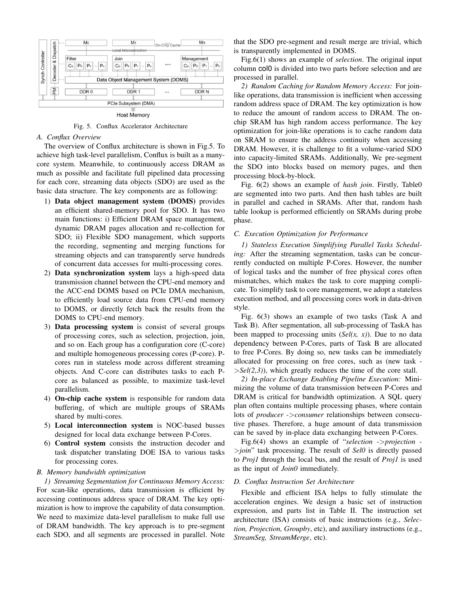

**Host Memory** 

Fig. 5. Conflux Accelerator Architecture

#### *A. Conflux Overview*

The overview of Conflux architecture is shown in Fig.5. To achieve high task-level parallelism, Conflux is built as a manycore system. Meanwhile, to continuously access DRAM as much as possible and facilitate full pipelined data processing for each core, streaming data objects (SDO) are used as the basic data structure. The key components are as following:

- 1) Data object management system (DOMS) provides an efficient shared-memory pool for SDO. It has two main functions: i) Efficient DRAM space management, dynamic DRAM pages allocation and re-collection for SDO; ii) Flexible SDO management, which supports the recording, segmenting and merging functions for streaming objects and can transparently serve hundreds of concurrent data accesses for multi-processing cores.
- 2) Data synchronization system lays a high-speed data transmission channel between the CPU-end memory and the ACC-end DOMS based on PCIe DMA mechanism, to efficiently load source data from CPU-end memory to DOMS, or directly fetch back the results from the DOMS to CPU-end memory.
- 3) Data processing system is consist of several groups of processing cores, such as selection, projection, join, and so on. Each group has a configuration core (C-core) and multiple homogeneous processing cores (P-core). Pcores run in stateless mode across different streaming objects. And C-core can distributes tasks to each Pcore as balanced as possible, to maximize task-level parallelism.
- 4) On-chip cache system is responsible for random data buffering, of which are multiple groups of SRAMs shared by multi-cores.
- 5) Local interconnection system is NOC-based busses designed for local data exchange between P-Cores.
- 6) Control system consists the instruction decoder and task dispatcher translating DOE ISA to various tasks for processing cores.

# *B. Memory bandwidth optimization*

*1) Streaming Segmentation for Continuous Memory Access:* For scan-like operations, data transmission is efficient by accessing continuous address space of DRAM. The key optimization is how to improve the capability of data consumption. We need to maximize data-level parallelism to make full use of DRAM bandwidth. The key approach is to pre-segment each SDO, and all segments are processed in parallel. Note that the SDO pre-segment and result merge are trivial, which is transparently implemented in DOMS.

Fig.6(1) shows an example of *selection*. The original input column col0 is divided into two parts before selection and are processed in parallel.

*2) Random Caching for Random Memory Access:* For joinlike operations, data transmission is inefficient when accessing random address space of DRAM. The key optimization is how to reduce the amount of random access to DRAM. The onchip SRAM has high random access performance. The key optimization for join-like operations is to cache random data on SRAM to ensure the address continuity when accessing DRAM. However, it is challenge to fit a volume-varied SDO into capacity-limited SRAMs. Additionally, We pre-segment the SDO into blocks based on memory pages, and then processing block-by-block.

Fig. 6(2) shows an example of *hash join*. Firstly, Table0 are segmented into two parts. And then hash tables are built in parallel and cached in SRAMs. After that, random hash table lookup is performed efficiently on SRAMs during probe phase.

# *C. Execution Optimization for Performance*

*1) Stateless Execution Simplifying Parallel Tasks Scheduling:* After the streaming segmentation, tasks can be concurrently conducted on multiple P-Cores. However, the number of logical tasks and the number of free physical cores often mismatches, which makes the task to core mapping complicate. To simplify task to core management, we adopt a stateless execution method, and all processing cores work in data-driven style.

Fig. 6(3) shows an example of two tasks (Task A and Task B). After segmentation, all sub-processing of TaskA has been mapped to processing units (*Sel(x, x)*). Due to no data dependency between P-Cores, parts of Task B are allocated to free P-Cores. By doing so, new tasks can be immediately allocated for processing on free cores, such as (new task - >*Sel(2,3)*), which greatly reduces the time of the core stall.

*2) In-place Exchange Enabling Pipeline Execution:* Minimizing the volume of data transmission between P-Cores and DRAM is critical for bandwidth optimization. A SQL query plan often contains multiple processing phases, where contain lots of *producer -*>*consumer* relationships between consecutive phases. Therefore, a huge amount of data transmission can be saved by in-place data exchanging between P-Cores.

Fig.6(4) shows an example of "*selection* ->*projection* - >*join*" task processing. The result of *Sel0* is directly passed to *Proj1* through the local bus, and the result of *Proj1* is used as the input of *Join0* immediately.

# *D. Conflux Instruction Set Architecture*

Flexible and efficient ISA helps to fully stimulate the acceleration engines. We design a basic set of instruction expression, and parts list in Table II. The instruction set architecture (ISA) consists of basic instructions (e.g., *Selection, Projection, Groupby*, etc), and auxiliary instructions (e.g., *StreamSeg, StreamMerge*, etc).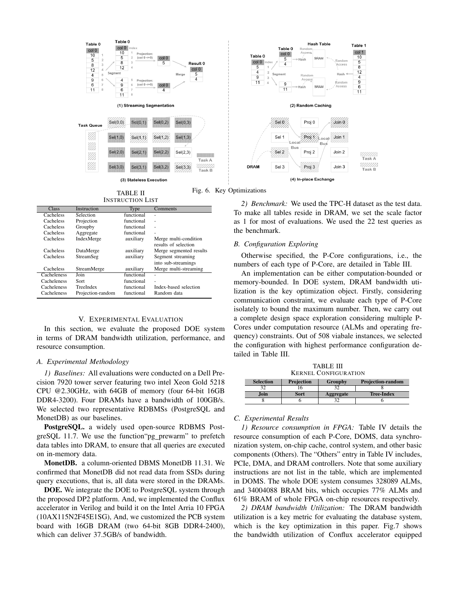

INSTRUCTION LIST

| <b>Class</b> | Instruction       | Type       | Comments                                      |
|--------------|-------------------|------------|-----------------------------------------------|
| Cacheless    | Selection         | functional |                                               |
| Cacheless    | Projection        | functional | ä,                                            |
| Cacheless    | Groupby           | functional |                                               |
| Cacheless    | Aggregate         | functional | ä,                                            |
| Cacheless    | IndexMerge        | auxiliary  | Merge multi-condition<br>results of selection |
| Cacheless    | DataMerge         | auxiliary  | Merge segmented results                       |
| Cacheless    | StreamSeg         | auxiliary  | Segment streaming                             |
|              |                   |            | into sub-streamings                           |
| Cacheless    | StreamMerge       | auxiliary  | Merge multi-streaming                         |
| Cacheleness  | Join              | functional | ۰                                             |
| Cacheleness  | Sort              | functional | ä,                                            |
| Cacheleness  | TreeIndex         | functional | Index-based selection                         |
| Cacheleness  | Projection-random | functional | Random data                                   |

# V. EXPERIMENTAL EVALUATION

In this section, we evaluate the proposed DOE system in terms of DRAM bandwidth utilization, performance, and resource consumption.

#### *A. Experimental Methodology*

*1) Baselines:* All evaluations were conducted on a Dell Precision 7920 tower server featuring two intel Xeon Gold 5218 CPU @2.30GHz, with 64GB of memory (four 64-bit 16GB DDR4-3200). Four DRAMs have a bandwidth of 100GB/s. We selected two representative RDBMSs (PostgreSQL and MonetDB) as our baselines.

**PostgreSQL.** a widely used open-source RDBMS PostgreSQL 11.7. We use the function"pg prewarm" to prefetch data tables into DRAM, to ensure that all queries are executed on in-memory data.

MonetDB. a column-oriented DBMS MonetDB 11.31. We confirmed that MonetDB did not read data from SSDs during query executions, that is, all data were stored in the DRAMs.

DOE. We integrate the DOE to PostgreSQL system through the proposed DP2 platform. And, we implemented the Conflux accelerator in Verilog and build it on the Intel Arria 10 FPGA (10AX115N2F45E1SG), And, we customized the PCB system board with 16GB DRAM (two 64-bit 8GB DDR4-2400), which can deliver 37.5GB/s of bandwidth.



TABLE II Fig. 6. Key Optimizations

*2) Benchmark:* We used the TPC-H dataset as the test data. To make all tables reside in DRAM, we set the scale factor as 1 for most of evaluations. We used the 22 test queries as the benchmark.

#### *B. Configuration Exploring*

Otherwise specified, the P-Core configurations, i.e., the numbers of each type of P-Core, are detailed in Table III.

An implementation can be either computation-bounded or memory-bounded. In DOE system, DRAM bandwidth utilization is the key optimization object. Firstly, considering communication constraint, we evaluate each type of P-Core isolately to bound the maximum number. Then, we carry out a complete design space exploration considering multiple P-Cores under computation resource (ALMs and operating frequency) constraints. Out of 508 viabale instances, we selected the configuration with highest performance configuration detailed in Table III.

| <b>TABLE III</b><br><b>KERNEL CONFIGURATION</b> |            |         |                          |  |  |  |
|-------------------------------------------------|------------|---------|--------------------------|--|--|--|
|                                                 |            |         |                          |  |  |  |
| <b>Selection</b>                                | Projection | Groupby | <b>Projection-random</b> |  |  |  |
| 32                                              |            |         |                          |  |  |  |

Join Sort Aggregate Tree-Index 8 6 32 6

# *C. Experimental Results*

*1) Resource consumption in FPGA:* Table IV details the resource consumption of each P-Core, DOMS, data synchronization system, on-chip cache, control system, and other basic components (Others). The "Others" entry in Table IV includes, PCIe, DMA, and DRAM controllers. Note that some auxiliary instructions are not list in the table, which are implemented in DOMS. The whole DOE system consumes 328089 ALMs, and 34004088 BRAM bits, which occupies 77% ALMs and 61% BRAM of whole FPGA on-chip resources respectively.

*2) DRAM bandwidth Utilization:* The DRAM bandwidth utilization is a key metric for evaluating the database system, which is the key optimization in this paper. Fig.7 shows the bandwidth utilization of Conflux accelerator equipped